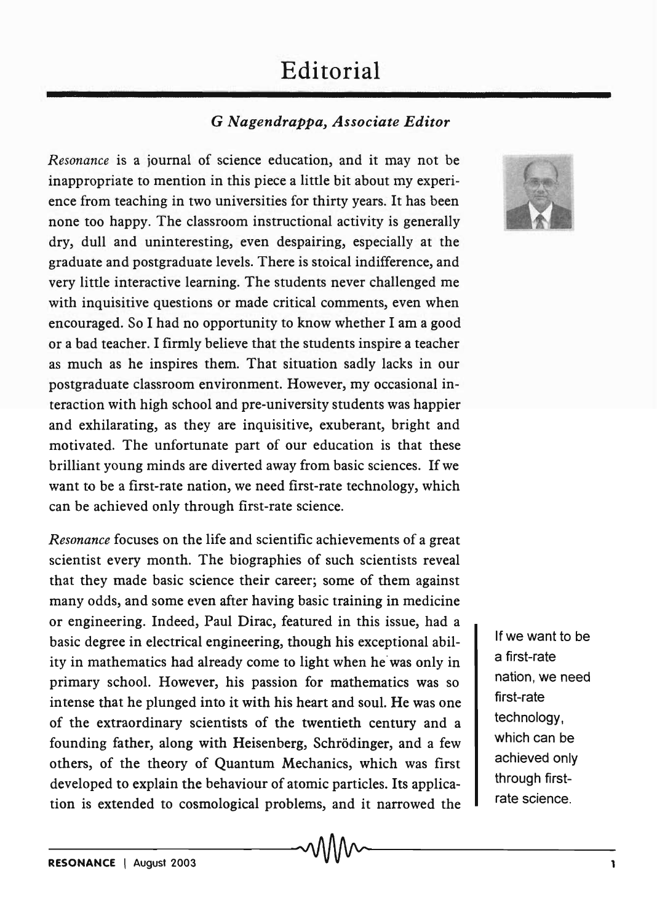## **Editorial**

## G *Nagendrappa, Associate Editor*

*Resonance* is a journal of science education, and it may not be inappropriate to mention in this piece a little bit about my experience from teaching in two universities for thirty years. It has been none too happy. The classroom instructional activity is generally dry, dull and uninteresting, even despairing, especially at the graduate and postgraduate levels. There is stoical indifference, and very little interactive learning. The students never challenged me with inquisitive questions or made critical comments, even when encouraged. So I had no opportunity to know whether I am a good or a bad teacher. I firmly believe that the students inspire a teacher as much as he inspires them. That situation sadly lacks in our postgraduate classroom environment. However, my occasional interaction with high school and pre-university students was happier and exhilarating, as they are inquisitive, exuberant, bright and motivated. The unfortunate part of our education is that these brilliant young minds are diverted away from basic sciences. If we want to be a first-rate nation, we need first-rate technology, which can be achieved only through first-rate science.

*Resonance* focuses on the life and scientific achievements of a great scientist every month. The biographies of such scientists reveal that they made basic science their career; some of them against many odds, and some even after having basic training in medicine or engineering. Indeed, Paul Dirac, featured in this issue, had a basic degree in electrical engineering, though his exceptional ability in mathematics had already come to light when he' was only in primary school. However, his passion for mathematics was so intense that he plunged into it with his heart and soul. He was one of the extraordinary scientists of the twentieth century and a founding father, along with Heisenberg, Schrodinger, and a few others, of the theory of Quantum Mechanics, which was first developed to explain the behaviour of atomic particles. Its application is extended to cosmological problems, and it narrowed the



If we want to be a first-rate nation, we need first-rate technology, which can be achieved only through firstrate science.